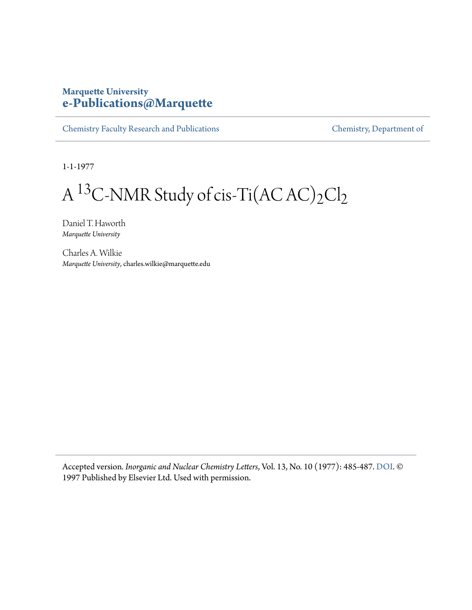#### **Marquette University [e-Publications@Marquette](https://epublications.marquette.edu)**

[Chemistry Faculty Research and Publications](https://epublications.marquette.edu/chem_fac) [Chemistry, Department of](https://epublications.marquette.edu/chemistry)

1-1-1977

# A  $\rm ^{13}C$ -NMR Study of cis-Ti(AC AC)2Cl2

Daniel T. Haworth *Marquette University*

Charles A. Wilkie *Marquette University*, charles.wilkie@marquette.edu

Accepted version*. Inorganic and Nuclear Chemistry Letters*, Vol. 13, No. 10 (1977): 485-487. [DOI.](https://doi.org/10.1016/0020-1650(77)80016-0) © 1997 Published by Elsevier Ltd. Used with permission.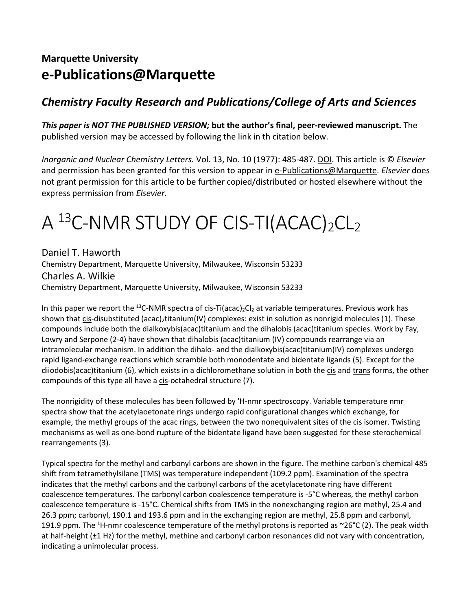### **Marquette University e-Publications@Marquette**

#### *Chemistry Faculty Research and Publications/College of Arts and Sciences*

*This paper is NOT THE PUBLISHED VERSION;* **but the author's final, peer-reviewed manuscript.** The published version may be accessed by following the link in th citation below.

*Inorganic and Nuclear Chemistry Letters.* Vol. 13, No. 10 (1977): 485-487. DOI. This article is © *Elsevier* and permission has been granted for this version to appear in [e-Publications@Marquette.](http://epublications.marquette.edu/) *Elsevier* does not grant permission for this article to be further copied/distributed or hosted elsewhere without the express permission from *Elsevier.*

## A  $^{13}$ C-NMR STUDY OF CIS-TI(ACAC)<sub>2</sub>CL<sub>2</sub>

Daniel T. Haworth Chemistry Department, Marquette University, Milwaukee, Wisconsin 53233 Charles A. Wilkie Chemistry Department, Marquette University, Milwaukee, Wisconsin 53233

In this paper we report the <sup>13</sup>C-NMR spectra of cis-Ti(acac)<sub>2</sub>Cl<sub>2</sub> at variable temperatures. Previous work has shown that cis-disubstituted (acac)<sub>2</sub>titanium(IV) complexes: exist in solution as nonrigid molecules (1). These compounds include both the dialkoxybis(acac)titanium and the dihalobis (acac)titanium species. Work by Fay, Lowry and Serpone (2-4) have shown that dihalobis (acac)titanium (IV) compounds rearrange via an intramolecular mechanism. In addition the dihalo- and the dialkoxybis(acac)titanium(IV) complexes undergo rapid ligand-exchange reactions which scramble both monodentate and bidentate ligands (5). Except for the diiodobis(acac)titanium (6), which exists in a dichloromethane solution in both the cis and trans forms, the other compounds of this type all have a cis-octahedral structure (7).

The nonrigidity of these molecules has been followed by 'H-nmr spectroscopy. Variable temperature nmr spectra show that the acetylaoetonate rings undergo rapid configurational changes which exchange, for example, the methyl groups of the acac rings, between the two nonequivalent sites of the cis isomer. Twisting mechanisms as well as one-bond rupture of the bidentate ligand have been suggested for these sterochemical rearrangements (3).

Typical spectra for the methyl and carbonyl carbons are shown in the figure. The methine carbon's chemical 485 shift from tetramethylsilane (TMS) was temperature independent (109.2 ppm). Examination of the spectra indicates that the methyl carbons and the carbonyl carbons of the acetylacetonate ring have different coalescence temperatures. The carbonyl carbon coalescence temperature is -5°C whereas, the methyl carbon coalescence temperature is -15°C. Chemical shifts from TMS in the nonexchanging region are methyl, 25.4 and 26.3 ppm; carbonyl, 190.1 and 193.6 ppm and in the exchanging region are methyl, 25.8 ppm and carbonyl, 191.9 ppm. The <sup>1</sup>H-nmr coalescence temperature of the methyl protons is reported as ~26°C (2). The peak width at half-height (±1 Hz) for the methyl, methine and carbonyl carbon resonances did not vary with concentration, indicating a unimolecular process.